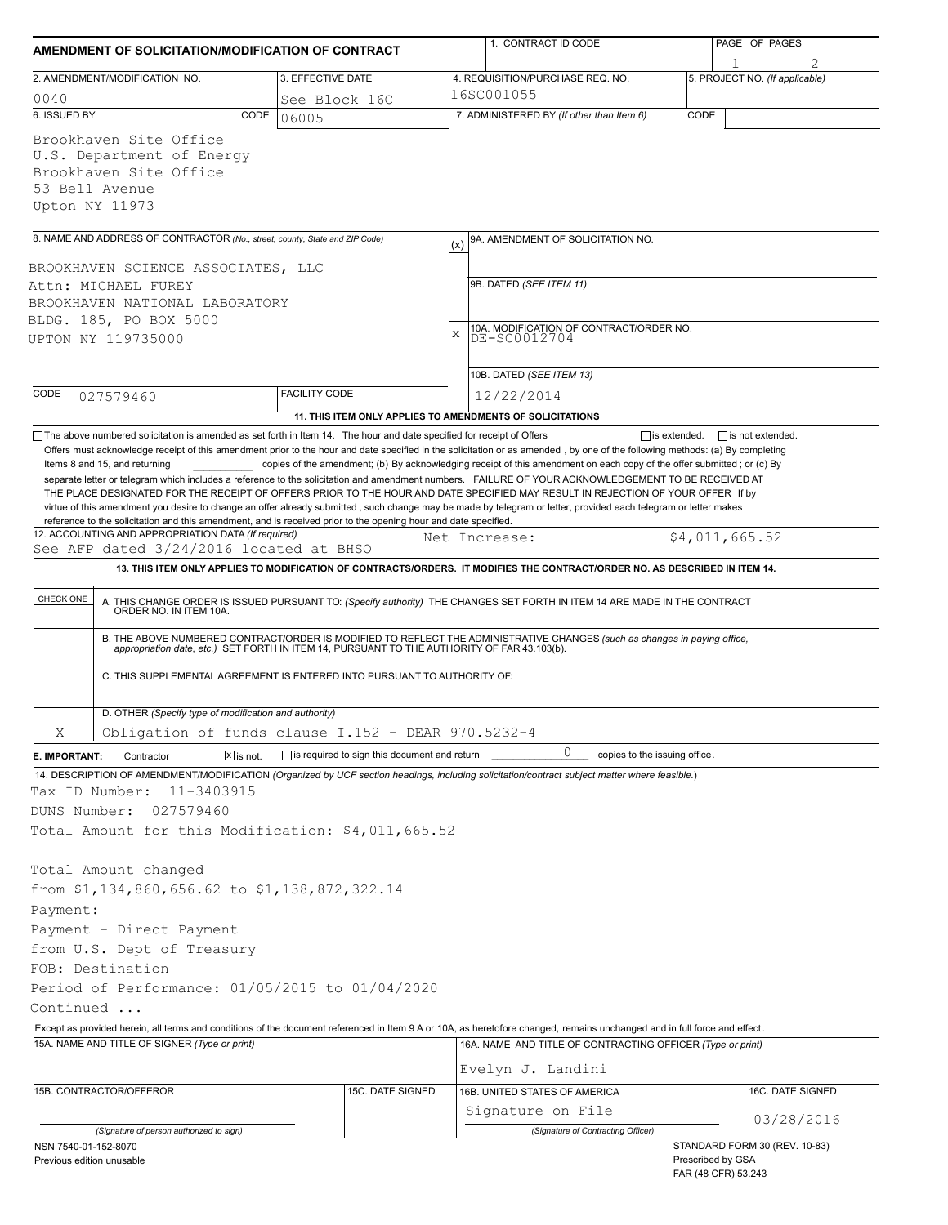| AMENDMENT OF SOLICITATION/MODIFICATION OF CONTRACT                                                                                                                                                                |                                                     | 1. CONTRACT ID CODE                                                                                                                                                                                                                                                                                                                                                                                                                                                        | PAGE OF PAGES                                  |  |  |
|-------------------------------------------------------------------------------------------------------------------------------------------------------------------------------------------------------------------|-----------------------------------------------------|----------------------------------------------------------------------------------------------------------------------------------------------------------------------------------------------------------------------------------------------------------------------------------------------------------------------------------------------------------------------------------------------------------------------------------------------------------------------------|------------------------------------------------|--|--|
| 2. AMENDMENT/MODIFICATION NO.                                                                                                                                                                                     | 3. EFFECTIVE DATE                                   | 4. REQUISITION/PURCHASE REQ. NO.                                                                                                                                                                                                                                                                                                                                                                                                                                           | 5. PROJECT NO. (If applicable)                 |  |  |
| 0040                                                                                                                                                                                                              | See Block 16C                                       | 16SC001055                                                                                                                                                                                                                                                                                                                                                                                                                                                                 |                                                |  |  |
| 6. ISSUED BY<br>CODE                                                                                                                                                                                              | 06005                                               | 7. ADMINISTERED BY (If other than Item 6)                                                                                                                                                                                                                                                                                                                                                                                                                                  | CODE                                           |  |  |
| Brookhaven Site Office<br>U.S. Department of Energy<br>Brookhaven Site Office<br>53 Bell Avenue<br>Upton NY 11973                                                                                                 |                                                     |                                                                                                                                                                                                                                                                                                                                                                                                                                                                            |                                                |  |  |
| 8. NAME AND ADDRESS OF CONTRACTOR (No., street, county, State and ZIP Code)                                                                                                                                       |                                                     | 9A. AMENDMENT OF SOLICITATION NO.<br>(x)                                                                                                                                                                                                                                                                                                                                                                                                                                   |                                                |  |  |
|                                                                                                                                                                                                                   |                                                     |                                                                                                                                                                                                                                                                                                                                                                                                                                                                            |                                                |  |  |
| BROOKHAVEN SCIENCE ASSOCIATES, LLC<br>Attn: MICHAEL FUREY                                                                                                                                                         |                                                     | 9B. DATED (SEE ITEM 11)                                                                                                                                                                                                                                                                                                                                                                                                                                                    |                                                |  |  |
| BROOKHAVEN NATIONAL LABORATORY                                                                                                                                                                                    |                                                     |                                                                                                                                                                                                                                                                                                                                                                                                                                                                            |                                                |  |  |
| BLDG. 185, PO BOX 5000                                                                                                                                                                                            |                                                     | 10A. MODIFICATION OF CONTRACT/ORDER NO.                                                                                                                                                                                                                                                                                                                                                                                                                                    |                                                |  |  |
| UPTON NY 119735000                                                                                                                                                                                                |                                                     | X<br>DE-SC0012704                                                                                                                                                                                                                                                                                                                                                                                                                                                          |                                                |  |  |
|                                                                                                                                                                                                                   |                                                     |                                                                                                                                                                                                                                                                                                                                                                                                                                                                            |                                                |  |  |
| CODE                                                                                                                                                                                                              | <b>FACILITY CODE</b>                                | 10B. DATED (SEE ITEM 13)                                                                                                                                                                                                                                                                                                                                                                                                                                                   |                                                |  |  |
| 027579460                                                                                                                                                                                                         |                                                     | 12/22/2014                                                                                                                                                                                                                                                                                                                                                                                                                                                                 |                                                |  |  |
| The above numbered solicitation is amended as set forth in Item 14. The hour and date specified for receipt of Offers                                                                                             |                                                     | 11. THIS ITEM ONLY APPLIES TO AMENDMENTS OF SOLICITATIONS                                                                                                                                                                                                                                                                                                                                                                                                                  | $\Box$ is extended.<br>$\Box$ is not extended. |  |  |
| reference to the solicitation and this amendment, and is received prior to the opening hour and date specified.<br>12. ACCOUNTING AND APPROPRIATION DATA (If required)<br>See AFP dated 3/24/2016 located at BHSO |                                                     | separate letter or telegram which includes a reference to the solicitation and amendment numbers. FAILURE OF YOUR ACKNOWLEDGEMENT TO BE RECEIVED AT<br>THE PLACE DESIGNATED FOR THE RECEIPT OF OFFERS PRIOR TO THE HOUR AND DATE SPECIFIED MAY RESULT IN REJECTION OF YOUR OFFER If by<br>virtue of this amendment you desire to change an offer already submitted, such change may be made by telegram or letter, provided each telegram or letter makes<br>Net Increase: | \$4,011,665.52                                 |  |  |
|                                                                                                                                                                                                                   |                                                     | 13. THIS ITEM ONLY APPLIES TO MODIFICATION OF CONTRACTS/ORDERS. IT MODIFIES THE CONTRACT/ORDER NO. AS DESCRIBED IN ITEM 14.                                                                                                                                                                                                                                                                                                                                                |                                                |  |  |
| CHECK ONE                                                                                                                                                                                                         |                                                     |                                                                                                                                                                                                                                                                                                                                                                                                                                                                            |                                                |  |  |
|                                                                                                                                                                                                                   |                                                     | A. THIS CHANGE ORDER IS ISSUED PURSUANT TO: (Specify authority) THE CHANGES SET FORTH IN ITEM 14 ARE MADE IN THE CONTRACT ORDER NO. IN ITEM 10A.                                                                                                                                                                                                                                                                                                                           |                                                |  |  |
|                                                                                                                                                                                                                   |                                                     | B. THE ABOVE NUMBERED CONTRACT/ORDER IS MODIFIED TO REFLECT THE ADMINISTRATIVE CHANGES (such as changes in paying office, appropriation date, etc.) SET FORTH IN ITEM 14, PURSUANT TO THE AUTHORITY OF FAR 43.103(b).                                                                                                                                                                                                                                                      |                                                |  |  |
| C. THIS SUPPLEMENTAL AGREEMENT IS ENTERED INTO PURSUANT TO AUTHORITY OF:                                                                                                                                          |                                                     |                                                                                                                                                                                                                                                                                                                                                                                                                                                                            |                                                |  |  |
| D. OTHER (Specify type of modification and authority)                                                                                                                                                             |                                                     |                                                                                                                                                                                                                                                                                                                                                                                                                                                                            |                                                |  |  |
| Obligation of funds clause I.152 - DEAR 970.5232-4<br>Χ                                                                                                                                                           |                                                     |                                                                                                                                                                                                                                                                                                                                                                                                                                                                            |                                                |  |  |
| Contractor<br>$X$ is not.<br>E. IMPORTANT:                                                                                                                                                                        | $\Box$ is required to sign this document and return | 0<br>copies to the issuing office.                                                                                                                                                                                                                                                                                                                                                                                                                                         |                                                |  |  |
|                                                                                                                                                                                                                   |                                                     | 14. DESCRIPTION OF AMENDMENT/MODIFICATION (Organized by UCF section headings, including solicitation/contract subject matter where feasible.)                                                                                                                                                                                                                                                                                                                              |                                                |  |  |
| Tax ID Number:<br>11-3403915                                                                                                                                                                                      |                                                     |                                                                                                                                                                                                                                                                                                                                                                                                                                                                            |                                                |  |  |
| DUNS Number:<br>027579460                                                                                                                                                                                         |                                                     |                                                                                                                                                                                                                                                                                                                                                                                                                                                                            |                                                |  |  |
| Total Amount for this Modification: \$4,011,665.52                                                                                                                                                                |                                                     |                                                                                                                                                                                                                                                                                                                                                                                                                                                                            |                                                |  |  |
|                                                                                                                                                                                                                   |                                                     |                                                                                                                                                                                                                                                                                                                                                                                                                                                                            |                                                |  |  |
| Total Amount changed                                                                                                                                                                                              |                                                     |                                                                                                                                                                                                                                                                                                                                                                                                                                                                            |                                                |  |  |
| from \$1,134,860,656.62 to \$1,138,872,322.14<br>Payment:                                                                                                                                                         |                                                     |                                                                                                                                                                                                                                                                                                                                                                                                                                                                            |                                                |  |  |
| Payment - Direct Payment                                                                                                                                                                                          |                                                     |                                                                                                                                                                                                                                                                                                                                                                                                                                                                            |                                                |  |  |
| from U.S. Dept of Treasury                                                                                                                                                                                        |                                                     |                                                                                                                                                                                                                                                                                                                                                                                                                                                                            |                                                |  |  |
| FOB: Destination                                                                                                                                                                                                  |                                                     |                                                                                                                                                                                                                                                                                                                                                                                                                                                                            |                                                |  |  |
| Period of Performance: 01/05/2015 to 01/04/2020                                                                                                                                                                   |                                                     |                                                                                                                                                                                                                                                                                                                                                                                                                                                                            |                                                |  |  |
| Continued                                                                                                                                                                                                         |                                                     |                                                                                                                                                                                                                                                                                                                                                                                                                                                                            |                                                |  |  |
|                                                                                                                                                                                                                   |                                                     | Except as provided herein, all terms and conditions of the document referenced in Item 9 A or 10A, as heretofore changed, remains unchanged and in full force and effect.                                                                                                                                                                                                                                                                                                  |                                                |  |  |
| 15A. NAME AND TITLE OF SIGNER (Type or print)                                                                                                                                                                     |                                                     | 16A. NAME AND TITLE OF CONTRACTING OFFICER (Type or print)                                                                                                                                                                                                                                                                                                                                                                                                                 |                                                |  |  |
|                                                                                                                                                                                                                   |                                                     | Evelyn J. Landini                                                                                                                                                                                                                                                                                                                                                                                                                                                          |                                                |  |  |
| 15B. CONTRACTOR/OFFEROR                                                                                                                                                                                           | 15C. DATE SIGNED                                    | 16B. UNITED STATES OF AMERICA                                                                                                                                                                                                                                                                                                                                                                                                                                              | 16C. DATE SIGNED                               |  |  |
|                                                                                                                                                                                                                   |                                                     | Signature on File                                                                                                                                                                                                                                                                                                                                                                                                                                                          |                                                |  |  |
| (Signature of person authorized to sign)                                                                                                                                                                          |                                                     | (Signature of Contracting Officer)                                                                                                                                                                                                                                                                                                                                                                                                                                         | 03/28/2016                                     |  |  |
| NSN 7540-01-152-8070                                                                                                                                                                                              |                                                     |                                                                                                                                                                                                                                                                                                                                                                                                                                                                            | STANDARD FORM 30 (REV. 10-83)                  |  |  |
| Previous edition unusable                                                                                                                                                                                         |                                                     |                                                                                                                                                                                                                                                                                                                                                                                                                                                                            | Prescribed by GSA<br>FAR (48 CFR) 53.243       |  |  |